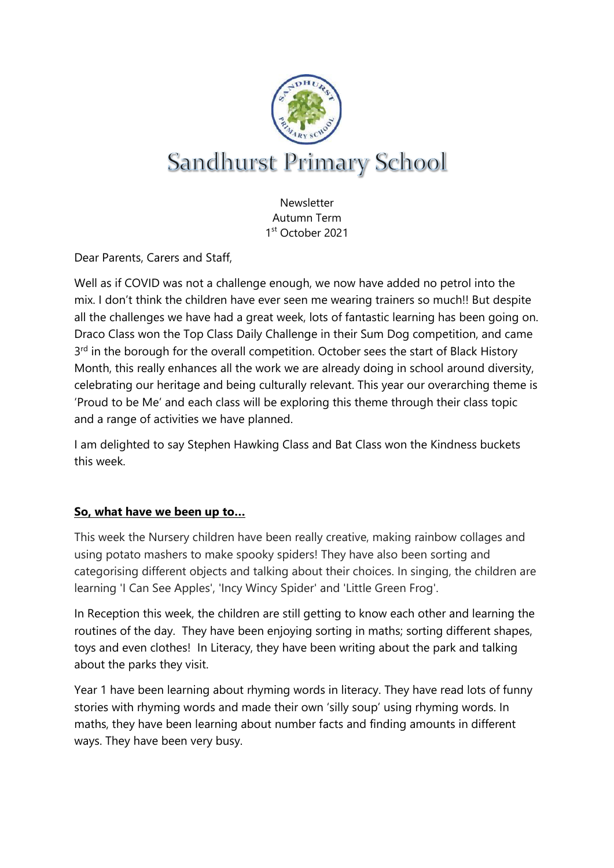

**Newsletter** Autumn Term 1 st October 2021

Dear Parents, Carers and Staff,

Well as if COVID was not a challenge enough, we now have added no petrol into the mix. I don't think the children have ever seen me wearing trainers so much!! But despite all the challenges we have had a great week, lots of fantastic learning has been going on. Draco Class won the Top Class Daily Challenge in their Sum Dog competition, and came 3<sup>rd</sup> in the borough for the overall competition. October sees the start of Black History Month, this really enhances all the work we are already doing in school around diversity, celebrating our heritage and being culturally relevant. This year our overarching theme is 'Proud to be Me' and each class will be exploring this theme through their class topic and a range of activities we have planned.

I am delighted to say Stephen Hawking Class and Bat Class won the Kindness buckets this week.

# **So, what have we been up to…**

This week the Nursery children have been really creative, making rainbow collages and using potato mashers to make spooky spiders! They have also been sorting and categorising different objects and talking about their choices. In singing, the children are learning 'I Can See Apples', 'Incy Wincy Spider' and 'Little Green Frog'.

In Reception this week, the children are still getting to know each other and learning the routines of the day. They have been enjoying sorting in maths; sorting different shapes, toys and even clothes! In Literacy, they have been writing about the park and talking about the parks they visit.

Year 1 have been learning about rhyming words in literacy. They have read lots of funny stories with rhyming words and made their own 'silly soup' using rhyming words. In maths, they have been learning about number facts and finding amounts in different ways. They have been very busy.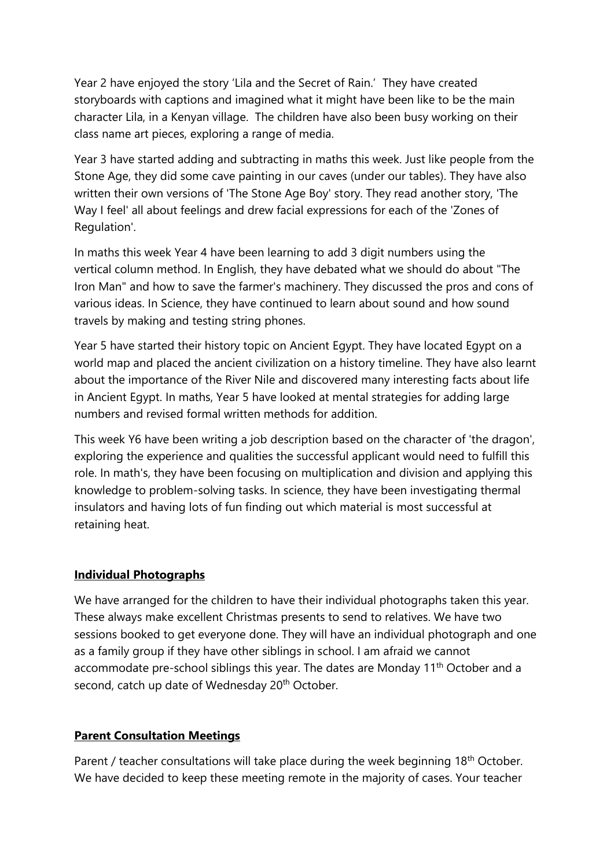Year 2 have enjoyed the story 'Lila and the Secret of Rain.' They have created storyboards with captions and imagined what it might have been like to be the main character Lila, in a Kenyan village. The children have also been busy working on their class name art pieces, exploring a range of media.

Year 3 have started adding and subtracting in maths this week. Just like people from the Stone Age, they did some cave painting in our caves (under our tables). They have also written their own versions of 'The Stone Age Boy' story. They read another story, 'The Way I feel' all about feelings and drew facial expressions for each of the 'Zones of Regulation'.

In maths this week Year 4 have been learning to add 3 digit numbers using the vertical column method. In English, they have debated what we should do about "The Iron Man" and how to save the farmer's machinery. They discussed the pros and cons of various ideas. In Science, they have continued to learn about sound and how sound travels by making and testing string phones.

Year 5 have started their history topic on Ancient Egypt. They have located Egypt on a world map and placed the ancient civilization on a history timeline. They have also learnt about the importance of the River Nile and discovered many interesting facts about life in Ancient Egypt. In maths, Year 5 have looked at mental strategies for adding large numbers and revised formal written methods for addition.

This week Y6 have been writing a job description based on the character of 'the dragon', exploring the experience and qualities the successful applicant would need to fulfill this role. In math's, they have been focusing on multiplication and division and applying this knowledge to problem-solving tasks. In science, they have been investigating thermal insulators and having lots of fun finding out which material is most successful at retaining heat.

### **Individual Photographs**

We have arranged for the children to have their individual photographs taken this year. These always make excellent Christmas presents to send to relatives. We have two sessions booked to get everyone done. They will have an individual photograph and one as a family group if they have other siblings in school. I am afraid we cannot accommodate pre-school siblings this year. The dates are Monday 11<sup>th</sup> October and a second, catch up date of Wednesday 20<sup>th</sup> October.

# **Parent Consultation Meetings**

Parent / teacher consultations will take place during the week beginning  $18<sup>th</sup>$  October. We have decided to keep these meeting remote in the majority of cases. Your teacher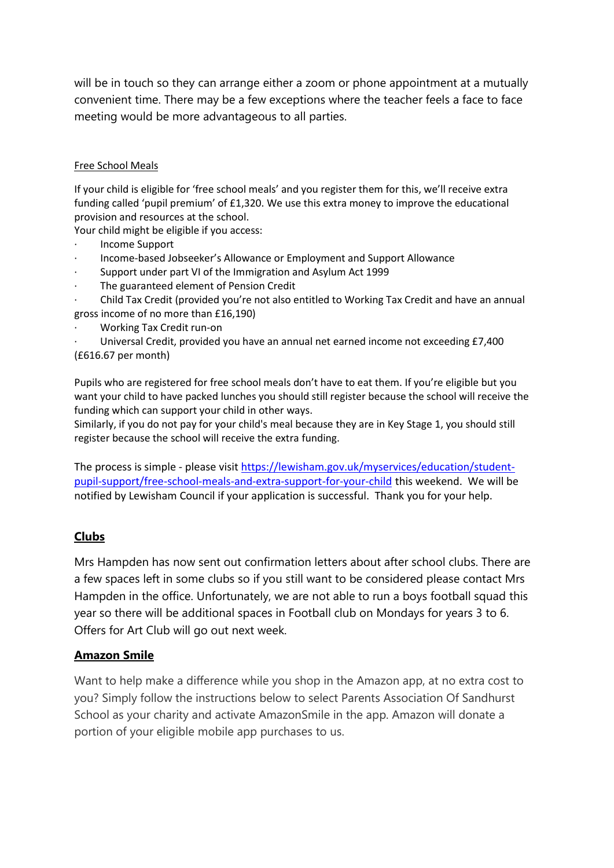will be in touch so they can arrange either a zoom or phone appointment at a mutually convenient time. There may be a few exceptions where the teacher feels a face to face meeting would be more advantageous to all parties.

#### Free School Meals

If your child is eligible for 'free school meals' and you register them for this, we'll receive extra funding called 'pupil premium' of £1,320. We use this extra money to improve the educational provision and resources at the school.

Your child might be eligible if you access:

- · Income Support
- · Income-based Jobseeker's Allowance or Employment and Support Allowance
- Support under part VI of the Immigration and Asylum Act 1999
- The guaranteed element of Pension Credit
- · Child Tax Credit (provided you're not also entitled to Working Tax Credit and have an annual gross income of no more than £16,190)
- · Working Tax Credit run-on
- Universal Credit, provided you have an annual net earned income not exceeding £7,400 (£616.67 per month)

Pupils who are registered for free school meals don't have to eat them. If you're eligible but you want your child to have packed lunches you should still register because the school will receive the funding which can support your child in other ways.

Similarly, if you do not pay for your child's meal because they are in Key Stage 1, you should still register because the school will receive the extra funding.

The process is simple - please visit [https://lewisham.gov.uk/myservices/education/student](https://lewisham.gov.uk/myservices/education/student-pupil-support/free-school-meals-and-extra-support-for-your-child)[pupil-support/free-school-meals-and-extra-support-for-your-child](https://lewisham.gov.uk/myservices/education/student-pupil-support/free-school-meals-and-extra-support-for-your-child) this weekend. We will be notified by Lewisham Council if your application is successful. Thank you for your help.

# **Clubs**

Mrs Hampden has now sent out confirmation letters about after school clubs. There are a few spaces left in some clubs so if you still want to be considered please contact Mrs Hampden in the office. Unfortunately, we are not able to run a boys football squad this year so there will be additional spaces in Football club on Mondays for years 3 to 6. Offers for Art Club will go out next week.

### **Amazon Smile**

Want to help make a difference while you shop in the Amazon app, at no extra cost to you? Simply follow the instructions below to select Parents Association Of Sandhurst School as your charity and activate AmazonSmile in the app. Amazon will donate a portion of your eligible mobile app purchases to us.